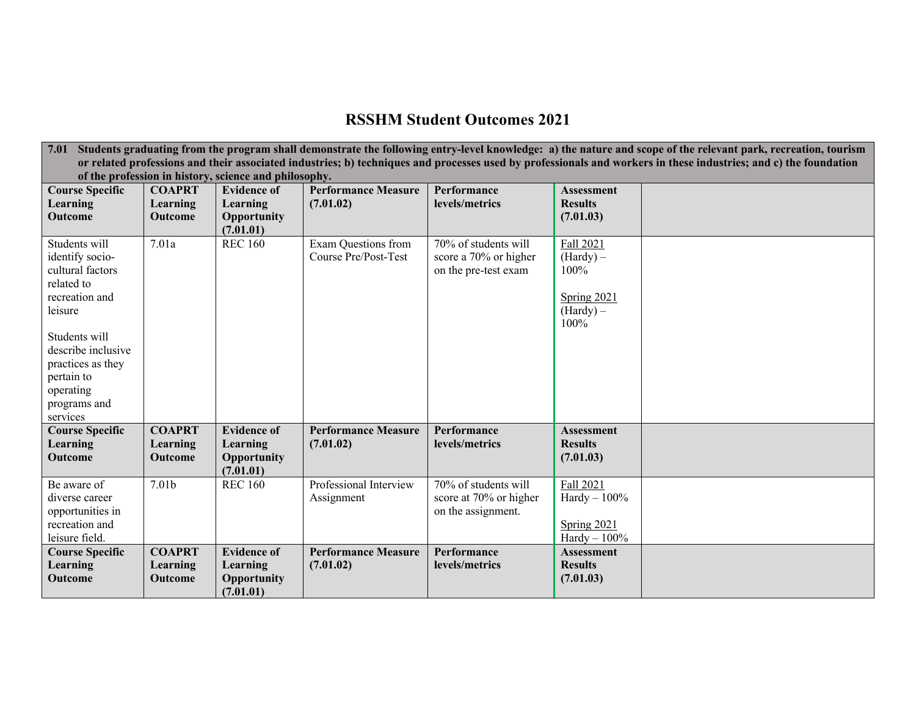## **RSSHM Student Outcomes 2021**

|                                                                                                                                                                  | 7.01 Students graduating from the program shall demonstrate the following entry-level knowledge: a) the nature and scope of the relevant park, recreation, tourism |                    |                            |                        |                    |  |  |  |  |
|------------------------------------------------------------------------------------------------------------------------------------------------------------------|--------------------------------------------------------------------------------------------------------------------------------------------------------------------|--------------------|----------------------------|------------------------|--------------------|--|--|--|--|
| or related professions and their associated industries; b) techniques and processes used by professionals and workers in these industries; and c) the foundation |                                                                                                                                                                    |                    |                            |                        |                    |  |  |  |  |
| <b>Course Specific</b>                                                                                                                                           | of the profession in history, science and philosophy.<br><b>COAPRT</b><br><b>Performance Measure</b><br><b>Evidence of</b><br>Performance<br><b>Assessment</b>     |                    |                            |                        |                    |  |  |  |  |
| Learning                                                                                                                                                         | Learning                                                                                                                                                           | Learning           | (7.01.02)                  | levels/metrics         | <b>Results</b>     |  |  |  |  |
| <b>Outcome</b>                                                                                                                                                   | <b>Outcome</b>                                                                                                                                                     | Opportunity        |                            |                        | (7.01.03)          |  |  |  |  |
|                                                                                                                                                                  |                                                                                                                                                                    | (7.01.01)          |                            |                        |                    |  |  |  |  |
| Students will                                                                                                                                                    | 7.01a                                                                                                                                                              | <b>REC 160</b>     | Exam Questions from        | 70% of students will   | Fall 2021          |  |  |  |  |
| identify socio-                                                                                                                                                  |                                                                                                                                                                    |                    | Course Pre/Post-Test       | score a 70% or higher  | $(Hardy) -$        |  |  |  |  |
| cultural factors                                                                                                                                                 |                                                                                                                                                                    |                    |                            | on the pre-test exam   | 100%               |  |  |  |  |
| related to                                                                                                                                                       |                                                                                                                                                                    |                    |                            |                        |                    |  |  |  |  |
| recreation and                                                                                                                                                   |                                                                                                                                                                    |                    |                            |                        | <b>Spring 2021</b> |  |  |  |  |
| leisure                                                                                                                                                          |                                                                                                                                                                    |                    |                            |                        | $(Hardy) -$        |  |  |  |  |
|                                                                                                                                                                  |                                                                                                                                                                    |                    |                            |                        | 100%               |  |  |  |  |
| Students will                                                                                                                                                    |                                                                                                                                                                    |                    |                            |                        |                    |  |  |  |  |
| describe inclusive                                                                                                                                               |                                                                                                                                                                    |                    |                            |                        |                    |  |  |  |  |
| practices as they                                                                                                                                                |                                                                                                                                                                    |                    |                            |                        |                    |  |  |  |  |
| pertain to                                                                                                                                                       |                                                                                                                                                                    |                    |                            |                        |                    |  |  |  |  |
| operating                                                                                                                                                        |                                                                                                                                                                    |                    |                            |                        |                    |  |  |  |  |
| programs and                                                                                                                                                     |                                                                                                                                                                    |                    |                            |                        |                    |  |  |  |  |
| services                                                                                                                                                         |                                                                                                                                                                    |                    |                            |                        |                    |  |  |  |  |
| <b>Course Specific</b>                                                                                                                                           | <b>COAPRT</b>                                                                                                                                                      | <b>Evidence of</b> | <b>Performance Measure</b> | Performance            | <b>Assessment</b>  |  |  |  |  |
| Learning                                                                                                                                                         | Learning                                                                                                                                                           | Learning           | (7.01.02)                  | levels/metrics         | <b>Results</b>     |  |  |  |  |
| <b>Outcome</b>                                                                                                                                                   | Outcome                                                                                                                                                            | Opportunity        |                            |                        | (7.01.03)          |  |  |  |  |
|                                                                                                                                                                  |                                                                                                                                                                    | (7.01.01)          |                            |                        |                    |  |  |  |  |
| Be aware of                                                                                                                                                      | 7.01b                                                                                                                                                              | <b>REC 160</b>     | Professional Interview     | 70% of students will   | Fall 2021          |  |  |  |  |
| diverse career                                                                                                                                                   |                                                                                                                                                                    |                    | Assignment                 | score at 70% or higher | $Hardy - 100\%$    |  |  |  |  |
| opportunities in                                                                                                                                                 |                                                                                                                                                                    |                    |                            | on the assignment.     |                    |  |  |  |  |
| recreation and                                                                                                                                                   |                                                                                                                                                                    |                    |                            |                        | Spring 2021        |  |  |  |  |
| leisure field.                                                                                                                                                   |                                                                                                                                                                    |                    |                            |                        | $Hardy - 100%$     |  |  |  |  |
| <b>Course Specific</b>                                                                                                                                           | <b>COAPRT</b>                                                                                                                                                      | <b>Evidence of</b> | <b>Performance Measure</b> | Performance            | <b>Assessment</b>  |  |  |  |  |
| Learning                                                                                                                                                         | Learning                                                                                                                                                           | Learning           | (7.01.02)                  | levels/metrics         | <b>Results</b>     |  |  |  |  |
| Outcome                                                                                                                                                          | Outcome                                                                                                                                                            | Opportunity        |                            |                        | (7.01.03)          |  |  |  |  |
|                                                                                                                                                                  |                                                                                                                                                                    | (7.01.01)          |                            |                        |                    |  |  |  |  |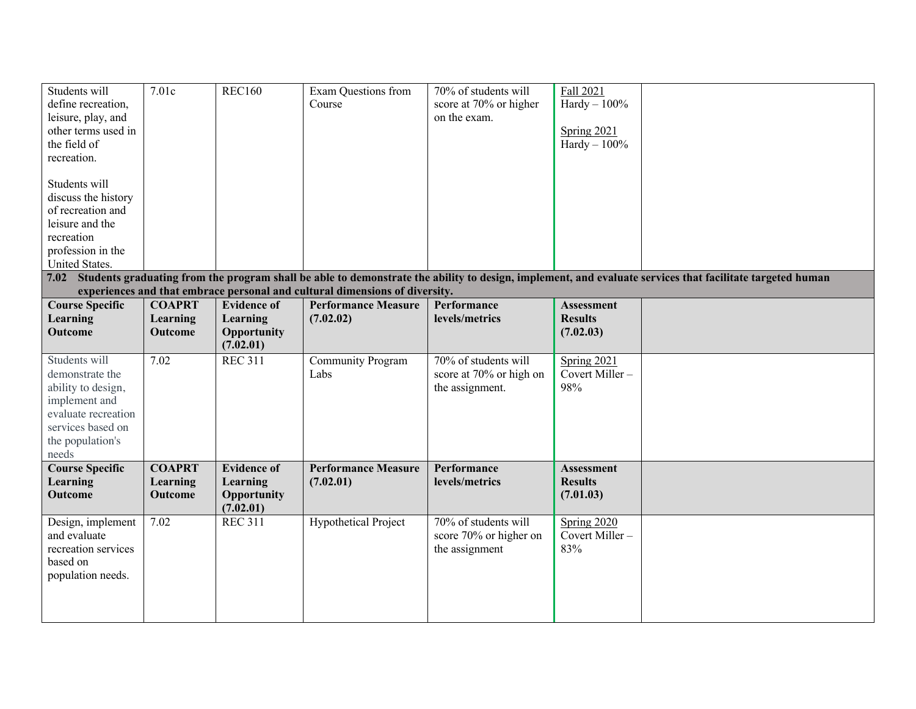| Students will<br>define recreation,<br>leisure, play, and<br>other terms used in<br>the field of<br>recreation.<br>Students will<br>discuss the history<br>of recreation and | 7.01c                                       | <b>REC160</b>                                              | Exam Questions from<br>Course                                               | 70% of students will<br>score at 70% or higher<br>on the exam.     | Fall 2021<br>$Hardy - 100%$<br>Spring 2021<br>$Hardy - 100\%$ |                                                                                                                                                               |
|------------------------------------------------------------------------------------------------------------------------------------------------------------------------------|---------------------------------------------|------------------------------------------------------------|-----------------------------------------------------------------------------|--------------------------------------------------------------------|---------------------------------------------------------------|---------------------------------------------------------------------------------------------------------------------------------------------------------------|
| leisure and the<br>recreation<br>profession in the<br>United States.                                                                                                         |                                             |                                                            |                                                                             |                                                                    |                                                               |                                                                                                                                                               |
|                                                                                                                                                                              |                                             |                                                            |                                                                             |                                                                    |                                                               | 7.02 Students graduating from the program shall be able to demonstrate the ability to design, implement, and evaluate services that facilitate targeted human |
|                                                                                                                                                                              |                                             |                                                            | experiences and that embrace personal and cultural dimensions of diversity. |                                                                    |                                                               |                                                                                                                                                               |
| <b>Course Specific</b><br>Learning<br><b>Outcome</b>                                                                                                                         | <b>COAPRT</b><br>Learning<br><b>Outcome</b> | <b>Evidence of</b><br>Learning<br>Opportunity<br>(7.02.01) | <b>Performance Measure</b><br>(7.02.02)                                     | Performance<br>levels/metrics                                      | <b>Assessment</b><br><b>Results</b><br>(7.02.03)              |                                                                                                                                                               |
| Students will<br>demonstrate the<br>ability to design,<br>implement and<br>evaluate recreation<br>services based on<br>the population's<br>needs                             | 7.02                                        | <b>REC 311</b>                                             | Community Program<br>Labs                                                   | 70% of students will<br>score at 70% or high on<br>the assignment. | Spring 2021<br>Covert Miller-<br>98%                          |                                                                                                                                                               |
| <b>Course Specific</b><br><b>Learning</b><br><b>Outcome</b>                                                                                                                  | <b>COAPRT</b><br>Learning<br><b>Outcome</b> | <b>Evidence of</b><br>Learning<br>Opportunity<br>(7.02.01) | <b>Performance Measure</b><br>(7.02.01)                                     | Performance<br>levels/metrics                                      | <b>Assessment</b><br><b>Results</b><br>(7.01.03)              |                                                                                                                                                               |
| Design, implement<br>and evaluate<br>recreation services<br>based on<br>population needs.                                                                                    | 7.02                                        | <b>REC 311</b>                                             | <b>Hypothetical Project</b>                                                 | 70% of students will<br>score 70% or higher on<br>the assignment   | Spring 2020<br>Covert Miller-<br>83%                          |                                                                                                                                                               |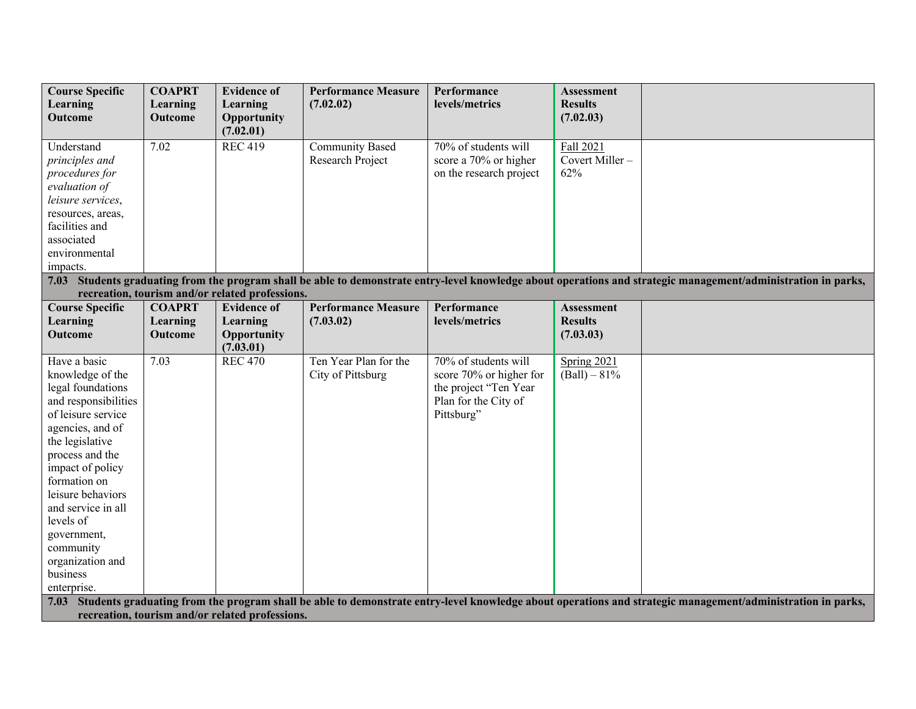| <b>Course Specific</b> | <b>COAPRT</b> | <b>Evidence of</b>                              | <b>Performance Measure</b> | Performance             | <b>Assessment</b> |                                                                                                                                                                 |
|------------------------|---------------|-------------------------------------------------|----------------------------|-------------------------|-------------------|-----------------------------------------------------------------------------------------------------------------------------------------------------------------|
| Learning               | Learning      | Learning                                        | (7.02.02)                  | levels/metrics          | <b>Results</b>    |                                                                                                                                                                 |
| <b>Outcome</b>         | Outcome       | Opportunity                                     |                            |                         | (7.02.03)         |                                                                                                                                                                 |
|                        |               | (7.02.01)                                       |                            |                         |                   |                                                                                                                                                                 |
| Understand             | 7.02          | <b>REC 419</b>                                  | <b>Community Based</b>     | 70% of students will    | Fall 2021         |                                                                                                                                                                 |
| principles and         |               |                                                 | Research Project           | score a 70% or higher   | Covert Miller-    |                                                                                                                                                                 |
| procedures for         |               |                                                 |                            | on the research project | 62%               |                                                                                                                                                                 |
| evaluation of          |               |                                                 |                            |                         |                   |                                                                                                                                                                 |
| leisure services,      |               |                                                 |                            |                         |                   |                                                                                                                                                                 |
| resources, areas,      |               |                                                 |                            |                         |                   |                                                                                                                                                                 |
| facilities and         |               |                                                 |                            |                         |                   |                                                                                                                                                                 |
| associated             |               |                                                 |                            |                         |                   |                                                                                                                                                                 |
| environmental          |               |                                                 |                            |                         |                   |                                                                                                                                                                 |
| impacts.               |               |                                                 |                            |                         |                   |                                                                                                                                                                 |
|                        |               |                                                 |                            |                         |                   | 7.03 Students graduating from the program shall be able to demonstrate entry-level knowledge about operations and strategic management/administration in parks, |
|                        |               | recreation, tourism and/or related professions. |                            |                         |                   |                                                                                                                                                                 |
| <b>Course Specific</b> | <b>COAPRT</b> | <b>Evidence of</b>                              | <b>Performance Measure</b> | Performance             | <b>Assessment</b> |                                                                                                                                                                 |
| <b>Learning</b>        | Learning      | Learning                                        | (7.03.02)                  | levels/metrics          | <b>Results</b>    |                                                                                                                                                                 |
| <b>Outcome</b>         | Outcome       | Opportunity                                     |                            |                         | (7.03.03)         |                                                                                                                                                                 |
|                        |               | (7.03.01)                                       |                            |                         |                   |                                                                                                                                                                 |
| Have a basic           | 7.03          | <b>REC 470</b>                                  | Ten Year Plan for the      | 70% of students will    | Spring 2021       |                                                                                                                                                                 |
| knowledge of the       |               |                                                 | City of Pittsburg          | score 70% or higher for | $(Ball) - 81\%$   |                                                                                                                                                                 |
| legal foundations      |               |                                                 |                            | the project "Ten Year   |                   |                                                                                                                                                                 |
| and responsibilities   |               |                                                 |                            | Plan for the City of    |                   |                                                                                                                                                                 |
| of leisure service     |               |                                                 |                            | Pittsburg"              |                   |                                                                                                                                                                 |
| agencies, and of       |               |                                                 |                            |                         |                   |                                                                                                                                                                 |
| the legislative        |               |                                                 |                            |                         |                   |                                                                                                                                                                 |
| process and the        |               |                                                 |                            |                         |                   |                                                                                                                                                                 |
| impact of policy       |               |                                                 |                            |                         |                   |                                                                                                                                                                 |
| formation on           |               |                                                 |                            |                         |                   |                                                                                                                                                                 |
| leisure behaviors      |               |                                                 |                            |                         |                   |                                                                                                                                                                 |
| and service in all     |               |                                                 |                            |                         |                   |                                                                                                                                                                 |
| levels of              |               |                                                 |                            |                         |                   |                                                                                                                                                                 |
| government,            |               |                                                 |                            |                         |                   |                                                                                                                                                                 |
| community              |               |                                                 |                            |                         |                   |                                                                                                                                                                 |
| organization and       |               |                                                 |                            |                         |                   |                                                                                                                                                                 |
| business               |               |                                                 |                            |                         |                   |                                                                                                                                                                 |
| enterprise.            |               |                                                 |                            |                         |                   |                                                                                                                                                                 |
| 7.03                   |               |                                                 |                            |                         |                   | Students graduating from the program shall be able to demonstrate entry-level knowledge about operations and strategic management/administration in parks,      |
|                        |               | recreation, tourism and/or related professions. |                            |                         |                   |                                                                                                                                                                 |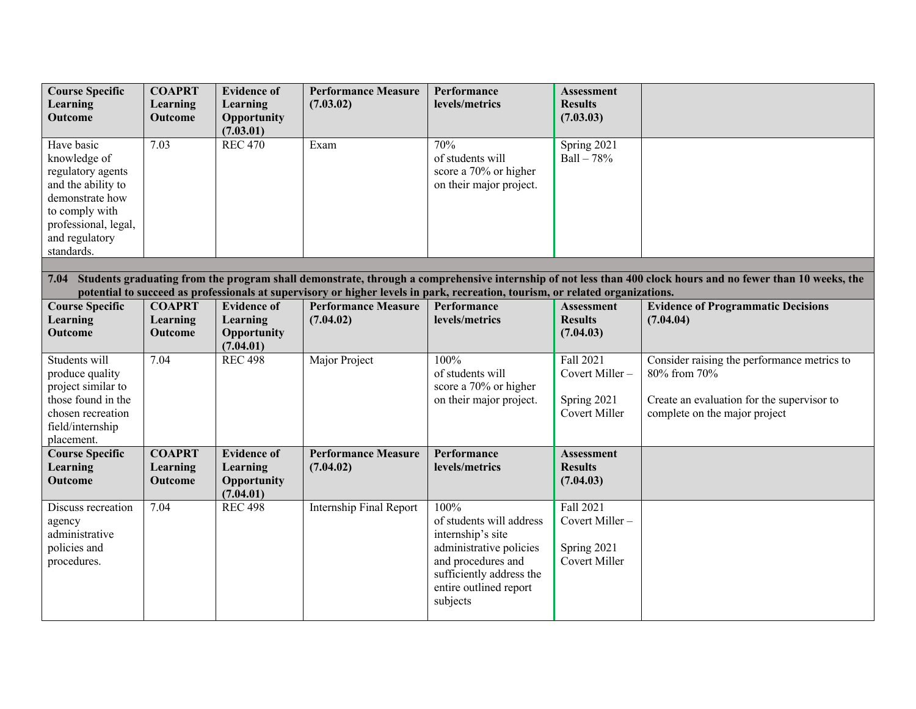| <b>Course Specific</b> | <b>COAPRT</b>  | <b>Evidence of</b> | <b>Performance Measure</b>     | Performance                                                                                                                   | <b>Assessment</b>    |                                                                                                                                                             |
|------------------------|----------------|--------------------|--------------------------------|-------------------------------------------------------------------------------------------------------------------------------|----------------------|-------------------------------------------------------------------------------------------------------------------------------------------------------------|
| Learning               | Learning       | Learning           | (7.03.02)                      | levels/metrics                                                                                                                | <b>Results</b>       |                                                                                                                                                             |
| Outcome                | Outcome        | Opportunity        |                                |                                                                                                                               | (7.03.03)            |                                                                                                                                                             |
|                        |                | (7.03.01)          |                                |                                                                                                                               |                      |                                                                                                                                                             |
| Have basic             | 7.03           | <b>REC 470</b>     | Exam                           | 70%                                                                                                                           | Spring 2021          |                                                                                                                                                             |
| knowledge of           |                |                    |                                | of students will                                                                                                              | $Ball - 78%$         |                                                                                                                                                             |
|                        |                |                    |                                |                                                                                                                               |                      |                                                                                                                                                             |
| regulatory agents      |                |                    |                                | score a 70% or higher                                                                                                         |                      |                                                                                                                                                             |
| and the ability to     |                |                    |                                | on their major project.                                                                                                       |                      |                                                                                                                                                             |
| demonstrate how        |                |                    |                                |                                                                                                                               |                      |                                                                                                                                                             |
| to comply with         |                |                    |                                |                                                                                                                               |                      |                                                                                                                                                             |
| professional, legal,   |                |                    |                                |                                                                                                                               |                      |                                                                                                                                                             |
| and regulatory         |                |                    |                                |                                                                                                                               |                      |                                                                                                                                                             |
| standards.             |                |                    |                                |                                                                                                                               |                      |                                                                                                                                                             |
|                        |                |                    |                                |                                                                                                                               |                      |                                                                                                                                                             |
| 7.04                   |                |                    |                                |                                                                                                                               |                      | Students graduating from the program shall demonstrate, through a comprehensive internship of not less than 400 clock hours and no fewer than 10 weeks, the |
|                        |                |                    |                                | potential to succeed as professionals at supervisory or higher levels in park, recreation, tourism, or related organizations. |                      |                                                                                                                                                             |
| <b>Course Specific</b> | <b>COAPRT</b>  | <b>Evidence of</b> | <b>Performance Measure</b>     | Performance                                                                                                                   | <b>Assessment</b>    | <b>Evidence of Programmatic Decisions</b>                                                                                                                   |
| Learning               | Learning       | Learning           | (7.04.02)                      | levels/metrics                                                                                                                | <b>Results</b>       | (7.04.04)                                                                                                                                                   |
| Outcome                | Outcome        | <b>Opportunity</b> |                                |                                                                                                                               | (7.04.03)            |                                                                                                                                                             |
|                        |                | (7.04.01)          |                                |                                                                                                                               |                      |                                                                                                                                                             |
| Students will          | 7.04           | <b>REC 498</b>     | Major Project                  | 100%                                                                                                                          | Fall 2021            | Consider raising the performance metrics to                                                                                                                 |
| produce quality        |                |                    |                                | of students will                                                                                                              | Covert Miller-       | 80% from 70%                                                                                                                                                |
| project similar to     |                |                    |                                | score a 70% or higher                                                                                                         |                      |                                                                                                                                                             |
| those found in the     |                |                    |                                | on their major project.                                                                                                       | Spring 2021          | Create an evaluation for the supervisor to                                                                                                                  |
| chosen recreation      |                |                    |                                |                                                                                                                               | <b>Covert Miller</b> | complete on the major project                                                                                                                               |
| field/internship       |                |                    |                                |                                                                                                                               |                      |                                                                                                                                                             |
| placement.             |                |                    |                                |                                                                                                                               |                      |                                                                                                                                                             |
| <b>Course Specific</b> | <b>COAPRT</b>  | <b>Evidence of</b> | <b>Performance Measure</b>     | Performance                                                                                                                   | <b>Assessment</b>    |                                                                                                                                                             |
| Learning               | Learning       | Learning           | (7.04.02)                      | levels/metrics                                                                                                                | <b>Results</b>       |                                                                                                                                                             |
| <b>Outcome</b>         | <b>Outcome</b> | Opportunity        |                                |                                                                                                                               | (7.04.03)            |                                                                                                                                                             |
|                        |                | (7.04.01)          |                                |                                                                                                                               |                      |                                                                                                                                                             |
| Discuss recreation     | 7.04           | <b>REC 498</b>     | <b>Internship Final Report</b> | 100%                                                                                                                          | Fall 2021            |                                                                                                                                                             |
|                        |                |                    |                                | of students will address                                                                                                      | Covert Miller-       |                                                                                                                                                             |
| agency                 |                |                    |                                |                                                                                                                               |                      |                                                                                                                                                             |
| administrative         |                |                    |                                | internship's site                                                                                                             |                      |                                                                                                                                                             |
| policies and           |                |                    |                                | administrative policies                                                                                                       | Spring 2021          |                                                                                                                                                             |
| procedures.            |                |                    |                                | and procedures and                                                                                                            | Covert Miller        |                                                                                                                                                             |
|                        |                |                    |                                | sufficiently address the                                                                                                      |                      |                                                                                                                                                             |
|                        |                |                    |                                | entire outlined report                                                                                                        |                      |                                                                                                                                                             |
|                        |                |                    |                                | subjects                                                                                                                      |                      |                                                                                                                                                             |
|                        |                |                    |                                |                                                                                                                               |                      |                                                                                                                                                             |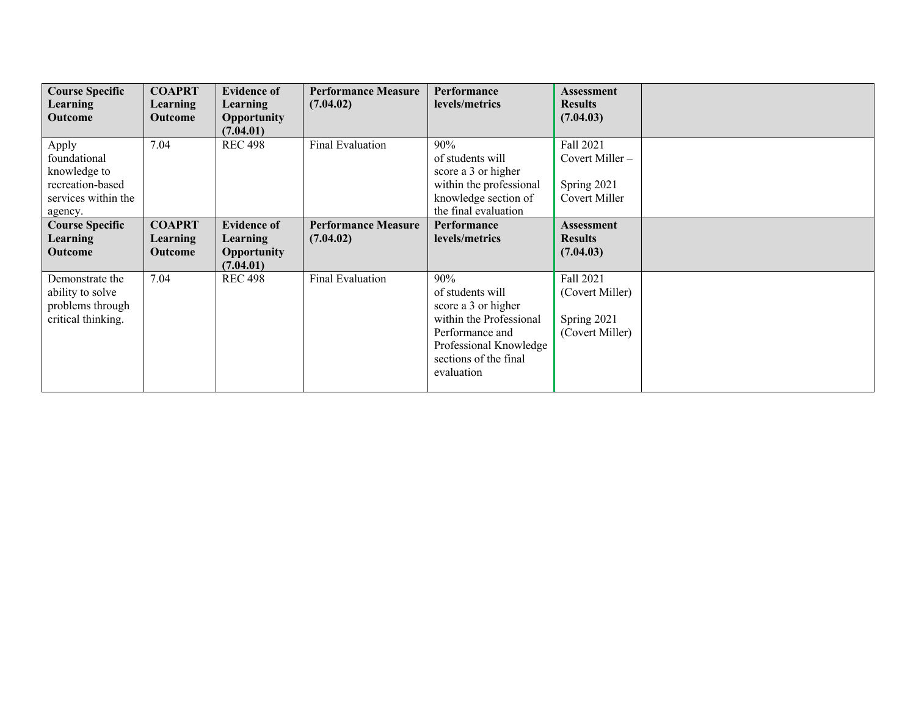| <b>Course Specific</b>                                                                      | <b>COAPRT</b>                        | <b>Evidence of</b>                                                | <b>Performance Measure</b><br>(7.04.02) | Performance<br>levels/metrics                                                                                                                                 | <b>Assessment</b><br><b>Results</b>                            |  |
|---------------------------------------------------------------------------------------------|--------------------------------------|-------------------------------------------------------------------|-----------------------------------------|---------------------------------------------------------------------------------------------------------------------------------------------------------------|----------------------------------------------------------------|--|
| <b>Learning</b><br>Outcome                                                                  | Learning<br><b>Outcome</b>           | Learning<br>Opportunity<br>(7.04.01)                              |                                         |                                                                                                                                                               | (7.04.03)                                                      |  |
| Apply<br>foundational<br>knowledge to<br>recreation-based<br>services within the<br>agency. | 7.04                                 | <b>REC 498</b>                                                    | Final Evaluation                        | 90%<br>of students will<br>score a 3 or higher<br>within the professional<br>knowledge section of<br>the final evaluation                                     | Fall 2021<br>Covert Miller $-$<br>Spring 2021<br>Covert Miller |  |
| <b>Course Specific</b><br><b>Learning</b><br>Outcome                                        | <b>COAPRT</b><br>Learning<br>Outcome | <b>Evidence of</b><br>Learning<br><b>Opportunity</b><br>(7.04.01) | <b>Performance Measure</b><br>(7.04.02) | Performance<br>levels/metrics                                                                                                                                 | <b>Assessment</b><br><b>Results</b><br>(7.04.03)               |  |
| Demonstrate the<br>ability to solve<br>problems through<br>critical thinking.               | 7.04                                 | <b>REC 498</b>                                                    | <b>Final Evaluation</b>                 | 90%<br>of students will<br>score a 3 or higher<br>within the Professional<br>Performance and<br>Professional Knowledge<br>sections of the final<br>evaluation | Fall 2021<br>(Covert Miller)<br>Spring 2021<br>(Covert Miller) |  |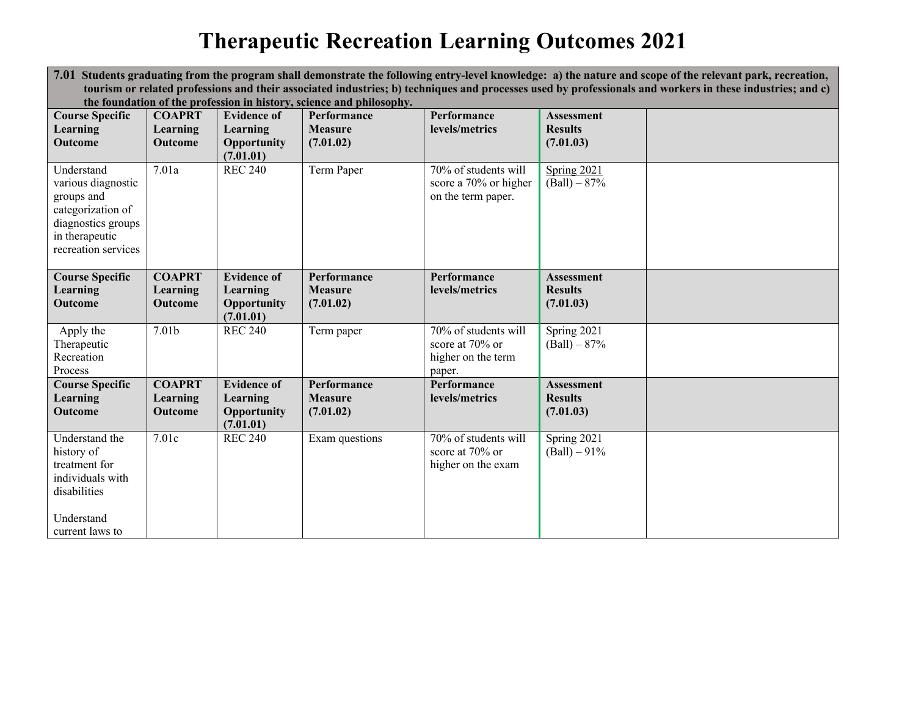## **Therapeutic Recreation Learning Outcomes 2021**

|                                                                                                                                                           | 7.01 Students graduating from the program shall demonstrate the following entry-level knowledge: a) the nature and scope of the relevant park, recreation, |                          |                |                                                                     |                               |  |  |  |  |
|-----------------------------------------------------------------------------------------------------------------------------------------------------------|------------------------------------------------------------------------------------------------------------------------------------------------------------|--------------------------|----------------|---------------------------------------------------------------------|-------------------------------|--|--|--|--|
| tourism or related professions and their associated industries; b) techniques and processes used by professionals and workers in these industries; and c) |                                                                                                                                                            |                          |                |                                                                     |                               |  |  |  |  |
| the foundation of the profession in history, science and philosophy.                                                                                      |                                                                                                                                                            |                          |                |                                                                     |                               |  |  |  |  |
| <b>Course Specific</b>                                                                                                                                    | <b>COAPRT</b>                                                                                                                                              | <b>Evidence of</b>       | Performance    | Performance                                                         | Assessment                    |  |  |  |  |
| Learning                                                                                                                                                  | Learning                                                                                                                                                   | Learning                 | <b>Measure</b> | levels/metrics                                                      | <b>Results</b>                |  |  |  |  |
| <b>Outcome</b>                                                                                                                                            | Outcome                                                                                                                                                    | Opportunity<br>(7.01.01) | (7.01.02)      |                                                                     | (7.01.03)                     |  |  |  |  |
| Understand<br>various diagnostic<br>groups and<br>categorization of<br>diagnostics groups<br>in therapeutic<br>recreation services                        | 7.01a                                                                                                                                                      | <b>REC 240</b>           | Term Paper     | 70% of students will<br>score a 70% or higher<br>on the term paper. | Spring 2021<br>$(Ball) - 87%$ |  |  |  |  |
| <b>Course Specific</b>                                                                                                                                    | <b>COAPRT</b>                                                                                                                                              | <b>Evidence of</b>       | Performance    | Performance                                                         | Assessment                    |  |  |  |  |
| Learning                                                                                                                                                  | Learning                                                                                                                                                   | Learning                 | <b>Measure</b> | levels/metrics                                                      | <b>Results</b>                |  |  |  |  |
| Outcome                                                                                                                                                   | Outcome                                                                                                                                                    | Opportunity<br>(7.01.01) | (7.01.02)      |                                                                     | (7.01.03)                     |  |  |  |  |
| Apply the                                                                                                                                                 | 7.01 <sub>b</sub>                                                                                                                                          | <b>REC 240</b>           | Term paper     | 70% of students will                                                | Spring 2021                   |  |  |  |  |
| Therapeutic                                                                                                                                               |                                                                                                                                                            |                          |                | score at 70% or                                                     | $(Ball) - 87%$                |  |  |  |  |
| Recreation                                                                                                                                                |                                                                                                                                                            |                          |                | higher on the term                                                  |                               |  |  |  |  |
| Process                                                                                                                                                   |                                                                                                                                                            |                          |                | paper.                                                              |                               |  |  |  |  |
| <b>Course Specific</b>                                                                                                                                    | <b>COAPRT</b>                                                                                                                                              | <b>Evidence of</b>       | Performance    | Performance                                                         | <b>Assessment</b>             |  |  |  |  |
| Learning                                                                                                                                                  | Learning                                                                                                                                                   | Learning                 | <b>Measure</b> | levels/metrics                                                      | <b>Results</b>                |  |  |  |  |
| <b>Outcome</b>                                                                                                                                            | Outcome                                                                                                                                                    | Opportunity<br>(7.01.01) | (7.01.02)      |                                                                     | (7.01.03)                     |  |  |  |  |
| Understand the                                                                                                                                            | 7.01c                                                                                                                                                      | <b>REC 240</b>           | Exam questions | 70% of students will                                                | Spring 2021                   |  |  |  |  |
| history of                                                                                                                                                |                                                                                                                                                            |                          |                | score at 70% or                                                     | $(Ball) - 91\%$               |  |  |  |  |
| treatment for                                                                                                                                             |                                                                                                                                                            |                          |                | higher on the exam                                                  |                               |  |  |  |  |
| individuals with                                                                                                                                          |                                                                                                                                                            |                          |                |                                                                     |                               |  |  |  |  |
| disabilities                                                                                                                                              |                                                                                                                                                            |                          |                |                                                                     |                               |  |  |  |  |
|                                                                                                                                                           |                                                                                                                                                            |                          |                |                                                                     |                               |  |  |  |  |
|                                                                                                                                                           |                                                                                                                                                            |                          |                |                                                                     |                               |  |  |  |  |
| Understand<br>current laws to                                                                                                                             |                                                                                                                                                            |                          |                |                                                                     |                               |  |  |  |  |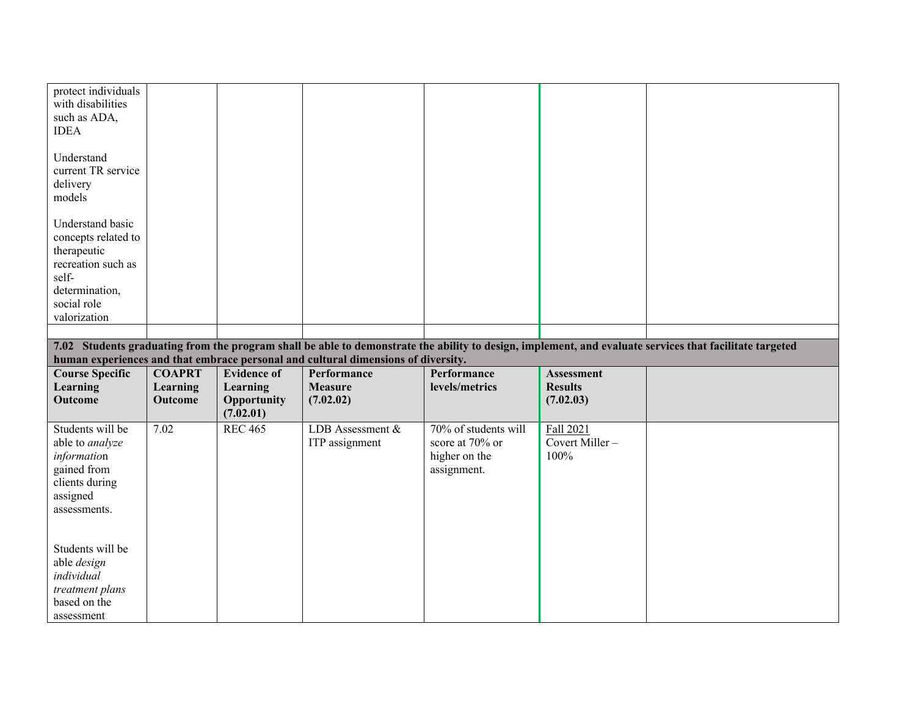| protect individuals<br>with disabilities<br>such as ADA,<br><b>IDEA</b>                                                                |                     |                                      |                                                                                   |                                                                         |                                     |                                                                                                                                                         |
|----------------------------------------------------------------------------------------------------------------------------------------|---------------------|--------------------------------------|-----------------------------------------------------------------------------------|-------------------------------------------------------------------------|-------------------------------------|---------------------------------------------------------------------------------------------------------------------------------------------------------|
| Understand<br>current TR service<br>delivery<br>models                                                                                 |                     |                                      |                                                                                   |                                                                         |                                     |                                                                                                                                                         |
| Understand basic<br>concepts related to<br>therapeutic<br>recreation such as<br>self-<br>determination,<br>social role<br>valorization |                     |                                      |                                                                                   |                                                                         |                                     |                                                                                                                                                         |
|                                                                                                                                        |                     |                                      |                                                                                   |                                                                         |                                     |                                                                                                                                                         |
|                                                                                                                                        |                     |                                      |                                                                                   |                                                                         |                                     | 7.02 Students graduating from the program shall be able to demonstrate the ability to design, implement, and evaluate services that facilitate targeted |
|                                                                                                                                        |                     |                                      |                                                                                   |                                                                         |                                     |                                                                                                                                                         |
|                                                                                                                                        |                     |                                      | human experiences and that embrace personal and cultural dimensions of diversity. |                                                                         |                                     |                                                                                                                                                         |
| <b>Course Specific</b>                                                                                                                 | <b>COAPRT</b>       | <b>Evidence of</b>                   | Performance                                                                       | Performance                                                             | <b>Assessment</b>                   |                                                                                                                                                         |
| Learning<br>Outcome                                                                                                                    | Learning<br>Outcome | Learning<br>Opportunity<br>(7.02.01) | <b>Measure</b><br>(7.02.02)                                                       | levels/metrics                                                          | <b>Results</b><br>(7.02.03)         |                                                                                                                                                         |
| Students will be<br>able to analyze<br>information<br>gained from<br>clients during<br>assigned<br>assessments.                        | 7.02                | <b>REC 465</b>                       | LDB Assessment &<br>ITP assignment                                                | 70% of students will<br>score at 70% or<br>higher on the<br>assignment. | Fall 2021<br>Covert Miller-<br>100% |                                                                                                                                                         |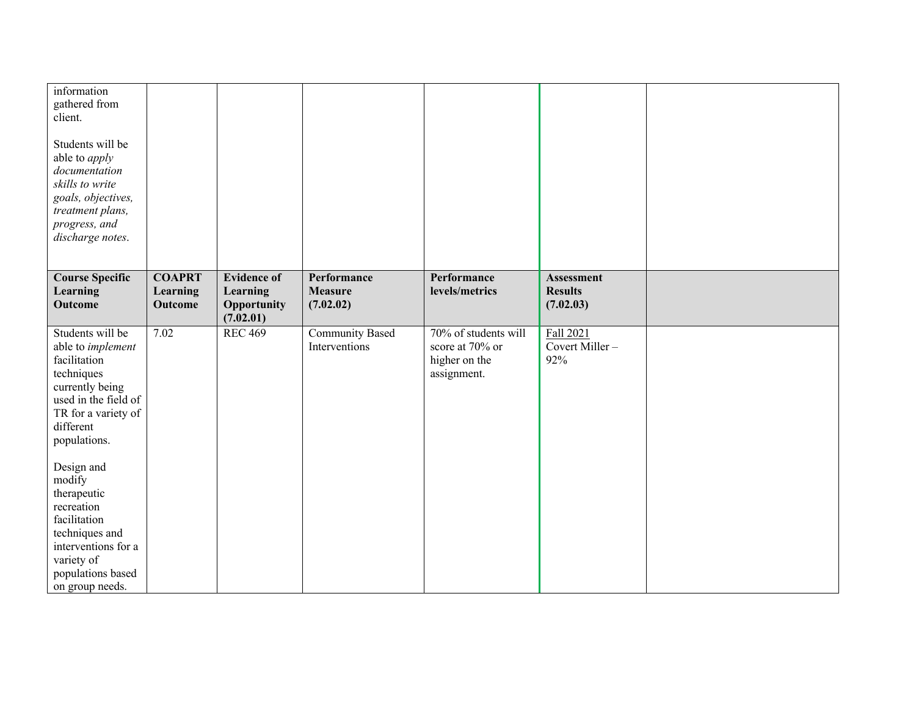| information<br>gathered from<br>client.<br>Students will be<br>able to <i>apply</i><br>documentation<br>skills to write<br>goals, objectives,<br>treatment plans,<br>progress, and<br>discharge notes.                                                    |                                             |                                                            |                                            |                                                                         |                                                  |  |
|-----------------------------------------------------------------------------------------------------------------------------------------------------------------------------------------------------------------------------------------------------------|---------------------------------------------|------------------------------------------------------------|--------------------------------------------|-------------------------------------------------------------------------|--------------------------------------------------|--|
| <b>Course Specific</b><br>Learning<br>Outcome                                                                                                                                                                                                             | <b>COAPRT</b><br>Learning<br><b>Outcome</b> | <b>Evidence of</b><br>Learning<br>Opportunity<br>(7.02.01) | Performance<br><b>Measure</b><br>(7.02.02) | Performance<br>levels/metrics                                           | <b>Assessment</b><br><b>Results</b><br>(7.02.03) |  |
| Students will be<br>able to implement<br>facilitation<br>techniques<br>currently being<br>used in the field of<br>TR for a variety of<br>different<br>populations.<br>Design and<br>modify<br>therapeutic<br>recreation<br>facilitation<br>techniques and | 7.02                                        | <b>REC 469</b>                                             | <b>Community Based</b><br>Interventions    | 70% of students will<br>score at 70% or<br>higher on the<br>assignment. | Fall 2021<br>Covert Miller-<br>92%               |  |
| interventions for a<br>variety of<br>populations based<br>on group needs.                                                                                                                                                                                 |                                             |                                                            |                                            |                                                                         |                                                  |  |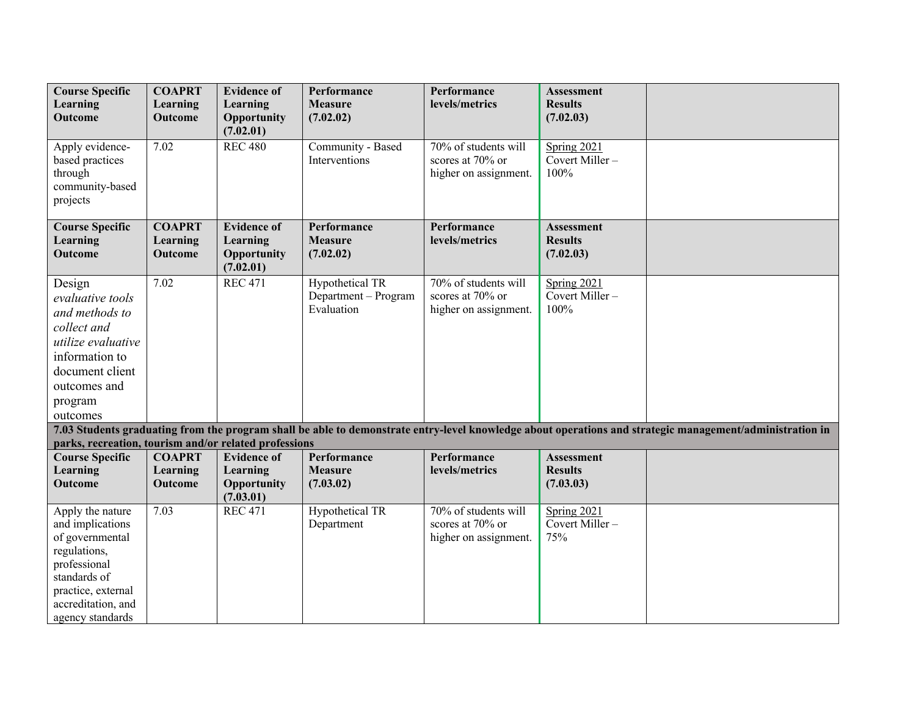| <b>Course Specific</b><br>Learning<br><b>Outcome</b>                                                                                                                    | <b>COAPRT</b><br>Learning<br><b>Outcome</b> | <b>Evidence of</b><br>Learning<br>Opportunity              | Performance<br><b>Measure</b><br>(7.02.02)            | Performance<br>levels/metrics                                     | <b>Assessment</b><br><b>Results</b><br>(7.02.03) |                                                                                                                                                          |
|-------------------------------------------------------------------------------------------------------------------------------------------------------------------------|---------------------------------------------|------------------------------------------------------------|-------------------------------------------------------|-------------------------------------------------------------------|--------------------------------------------------|----------------------------------------------------------------------------------------------------------------------------------------------------------|
| Apply evidence-<br>based practices<br>through<br>community-based<br>projects                                                                                            | 7.02                                        | (7.02.01)<br><b>REC 480</b>                                | Community - Based<br>Interventions                    | 70% of students will<br>scores at 70% or<br>higher on assignment. | Spring 2021<br>Covert Miller-<br>100%            |                                                                                                                                                          |
| <b>Course Specific</b><br>Learning<br>Outcome                                                                                                                           | <b>COAPRT</b><br>Learning<br>Outcome        | <b>Evidence of</b><br>Learning<br>Opportunity<br>(7.02.01) | Performance<br><b>Measure</b><br>(7.02.02)            | Performance<br>levels/metrics                                     | <b>Assessment</b><br><b>Results</b><br>(7.02.03) |                                                                                                                                                          |
| Design<br>evaluative tools<br>and methods to<br>collect and<br>utilize evaluative<br>information to<br>document client<br>outcomes and<br>program<br>outcomes           | 7.02                                        | <b>REC 471</b>                                             | Hypothetical TR<br>Department - Program<br>Evaluation | 70% of students will<br>scores at 70% or<br>higher on assignment. | Spring 2021<br>Covert Miller-<br>100%            |                                                                                                                                                          |
| parks, recreation, tourism and/or related professions                                                                                                                   |                                             |                                                            |                                                       |                                                                   |                                                  | 7.03 Students graduating from the program shall be able to demonstrate entry-level knowledge about operations and strategic management/administration in |
| <b>Course Specific</b><br><b>Learning</b><br><b>Outcome</b>                                                                                                             | <b>COAPRT</b><br>Learning<br>Outcome        | <b>Evidence of</b><br>Learning<br>Opportunity<br>(7.03.01) | Performance<br><b>Measure</b><br>(7.03.02)            | Performance<br>levels/metrics                                     | <b>Assessment</b><br><b>Results</b><br>(7.03.03) |                                                                                                                                                          |
| Apply the nature<br>and implications<br>of governmental<br>regulations,<br>professional<br>standards of<br>practice, external<br>accreditation, and<br>agency standards | 7.03                                        | <b>REC 471</b>                                             | Hypothetical TR<br>Department                         | 70% of students will<br>scores at 70% or<br>higher on assignment. | Spring 2021<br>Covert Miller-<br>75%             |                                                                                                                                                          |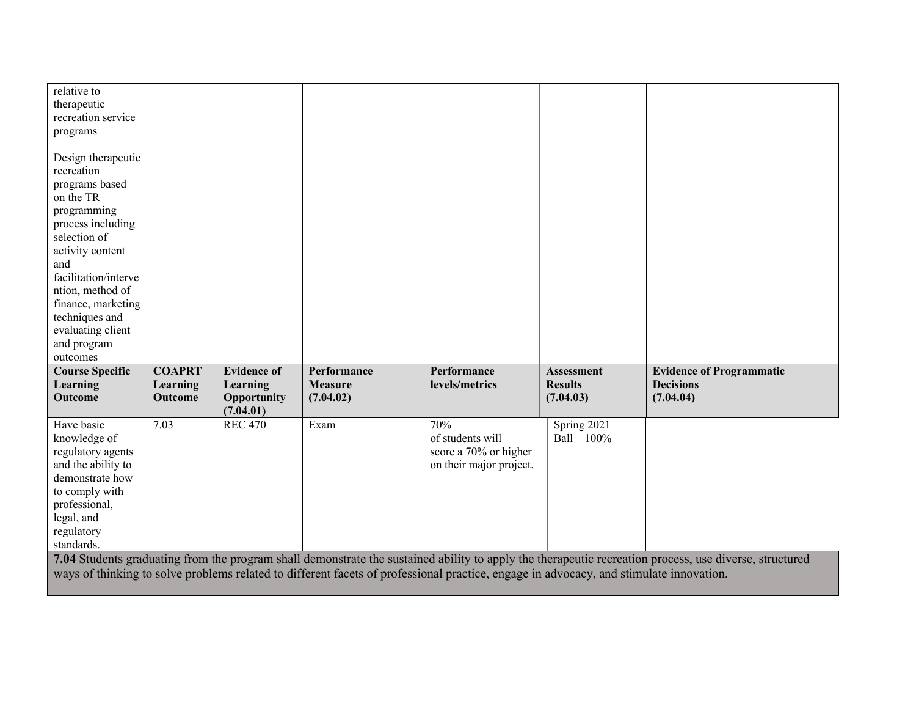| relative to<br>therapeutic<br>recreation service<br>programs<br>Design therapeutic<br>recreation<br>programs based<br>on the TR<br>programming<br>process including<br>selection of<br>activity content<br>and<br>facilitation/interve<br>ntion, method of<br>finance, marketing<br>techniques and<br>evaluating client<br>and program<br>outcomes |                                      |                                                            |                                                                                                                                        |                                                                             |                                                  |                                                                                                                                                        |
|----------------------------------------------------------------------------------------------------------------------------------------------------------------------------------------------------------------------------------------------------------------------------------------------------------------------------------------------------|--------------------------------------|------------------------------------------------------------|----------------------------------------------------------------------------------------------------------------------------------------|-----------------------------------------------------------------------------|--------------------------------------------------|--------------------------------------------------------------------------------------------------------------------------------------------------------|
| <b>Course Specific</b><br>Learning<br>Outcome                                                                                                                                                                                                                                                                                                      | <b>COAPRT</b><br>Learning<br>Outcome | <b>Evidence of</b><br>Learning<br>Opportunity<br>(7.04.01) | Performance<br><b>Measure</b><br>(7.04.02)                                                                                             | Performance<br>levels/metrics                                               | <b>Assessment</b><br><b>Results</b><br>(7.04.03) | <b>Evidence of Programmatic</b><br><b>Decisions</b><br>(7.04.04)                                                                                       |
| Have basic<br>knowledge of<br>regulatory agents<br>and the ability to<br>demonstrate how<br>to comply with<br>professional,<br>legal, and<br>regulatory<br>standards.                                                                                                                                                                              | 7.03                                 | <b>REC 470</b>                                             | Exam                                                                                                                                   | 70%<br>of students will<br>score a 70% or higher<br>on their major project. | Spring 2021<br>$Ball - 100%$                     |                                                                                                                                                        |
|                                                                                                                                                                                                                                                                                                                                                    |                                      |                                                            | ways of thinking to solve problems related to different facets of professional practice, engage in advocacy, and stimulate innovation. |                                                                             |                                                  | 7.04 Students graduating from the program shall demonstrate the sustained ability to apply the therapeutic recreation process, use diverse, structured |